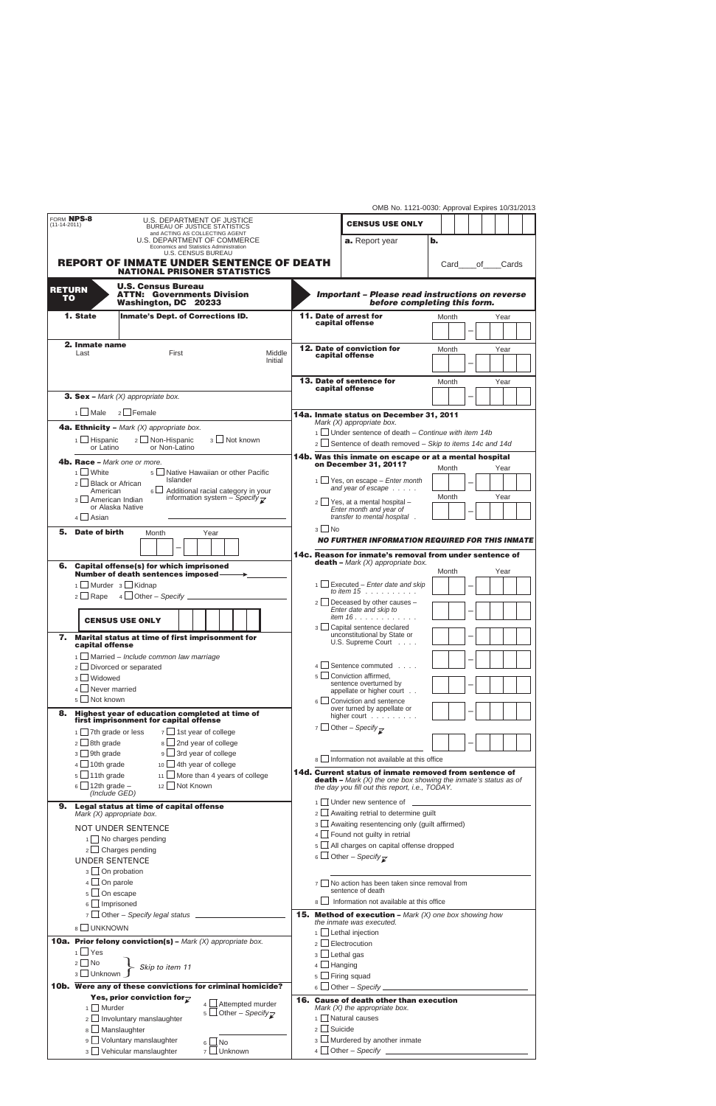|  |  | OMB No. 1121-0030: Approval Expires 10/31/2013 |  |
|--|--|------------------------------------------------|--|
|  |  |                                                |  |

| FORM NPS-8                              |                                                                               | U.S. DEPARTMENT OF JUSTICE                                                                          |                                                                           |                                                                                                                                   | טוויט ווערט ווערד האיטוויט וואס ווען האריך. דור<br><b>CENSUS USE ONLY</b>                 |                |       |  |    |      |       |
|-----------------------------------------|-------------------------------------------------------------------------------|-----------------------------------------------------------------------------------------------------|---------------------------------------------------------------------------|-----------------------------------------------------------------------------------------------------------------------------------|-------------------------------------------------------------------------------------------|----------------|-------|--|----|------|-------|
| $(11-14-2011)$                          |                                                                               | <b>BUREAU OF JUSTICE STATISTICS</b><br>and ACTING AS COLLECTING AGENT                               |                                                                           |                                                                                                                                   |                                                                                           |                |       |  |    |      |       |
|                                         |                                                                               | U.S. DEPARTMENT OF COMMERCE<br>Economics and Statistics Administration<br><b>U.S. CENSUS BUREAU</b> |                                                                           |                                                                                                                                   | a. Report year                                                                            | $\mathbf{b}$ . |       |  |    |      |       |
|                                         |                                                                               | <b>REPORT OF INMATE UNDER SENTENCE OF DEATH</b>                                                     |                                                                           |                                                                                                                                   |                                                                                           |                | Card  |  | οf |      | Cards |
|                                         |                                                                               | <b>NATIONAL PRISONER STATISTICS</b>                                                                 |                                                                           |                                                                                                                                   |                                                                                           |                |       |  |    |      |       |
| <b>RETURN</b><br><b>TO</b>              |                                                                               | <b>U.S. Census Bureau</b><br><b>ATTN: Governments Division</b><br>Washington, DC 20233              |                                                                           |                                                                                                                                   | <b>Important - Please read instructions on reverse</b><br>before completing this form.    |                |       |  |    |      |       |
|                                         | 1. State                                                                      | <b>Inmate's Dept. of Corrections ID.</b>                                                            |                                                                           |                                                                                                                                   | 11. Date of arrest for                                                                    |                | Month |  |    | Year |       |
|                                         |                                                                               |                                                                                                     |                                                                           |                                                                                                                                   | capital offense                                                                           |                |       |  |    |      |       |
|                                         | 2. Inmate name                                                                |                                                                                                     |                                                                           |                                                                                                                                   | <b>12. Date of conviction for</b>                                                         |                | Month |  |    | Year |       |
|                                         | Last                                                                          | First<br>Middle<br>Initial                                                                          |                                                                           |                                                                                                                                   | capital offense                                                                           |                |       |  |    |      |       |
|                                         |                                                                               |                                                                                                     |                                                                           |                                                                                                                                   | 13. Date of sentence for                                                                  |                |       |  |    |      |       |
|                                         |                                                                               |                                                                                                     |                                                                           |                                                                                                                                   | capital offense                                                                           |                | Month |  |    | Year |       |
|                                         |                                                                               | <b>3. Sex –</b> Mark $(X)$ appropriate box.                                                         |                                                                           |                                                                                                                                   |                                                                                           |                |       |  |    |      |       |
|                                         | $1 \Box$ Male                                                                 | $2 \Box$ Female                                                                                     |                                                                           |                                                                                                                                   | 14a. Inmate status on December 31, 2011<br>Mark (X) appropriate box.                      |                |       |  |    |      |       |
|                                         | <b>4a. Ethnicity</b> - Mark $(X)$ appropriate box.                            |                                                                                                     |                                                                           | $1$ Under sentence of death – Continue with item 14b                                                                              |                                                                                           |                |       |  |    |      |       |
|                                         | 2 Non-Hispanic<br>3   Not known<br>$1$ Hispanic<br>or Latino<br>or Non-Latino |                                                                                                     |                                                                           | $2 \Box$ Sentence of death removed – Skip to items 14c and 14d                                                                    |                                                                                           |                |       |  |    |      |       |
|                                         |                                                                               | <b>4b. Race –</b> Mark one or more.                                                                 |                                                                           |                                                                                                                                   | 14b. Was this inmate on escape or at a mental hospital<br>on December 31, 2011?           |                |       |  |    |      |       |
|                                         | $1$ White                                                                     | 5 □ Native Hawaiian or other Pacific                                                                |                                                                           |                                                                                                                                   |                                                                                           |                | Month |  |    | Year |       |
|                                         | $2 \Box$ Black or African<br>American                                         | <b>Islander</b><br>$6 \Box$<br>Additional racial category in your                                   |                                                                           |                                                                                                                                   | $1 \Box$ Yes, on escape – <i>Enter month</i><br>and year of escape                        |                |       |  |    |      |       |
|                                         | 3   American Indian                                                           | information system - Specify $\overline{\mathcal{L}}$<br>or Alaska Native                           |                                                                           |                                                                                                                                   | $2 \Box$ Yes, at a mental hospital -                                                      |                | Month |  |    | Year |       |
|                                         | $4 \Box$ Asian                                                                |                                                                                                     |                                                                           |                                                                                                                                   | Enter month and year of<br>transfer to mental hospital.                                   |                |       |  |    |      |       |
| 5.                                      | Date of birth                                                                 | Year<br>Month                                                                                       |                                                                           | $3$   No                                                                                                                          |                                                                                           |                |       |  |    |      |       |
|                                         |                                                                               |                                                                                                     |                                                                           |                                                                                                                                   | NO FURTHER INFORMATION REQUIRED FOR THIS INMATE                                           |                |       |  |    |      |       |
|                                         |                                                                               |                                                                                                     |                                                                           |                                                                                                                                   | 14c. Reason for inmate's removal from under sentence of                                   |                |       |  |    |      |       |
| 6.                                      |                                                                               | <b>Capital offense(s) for which imprisoned</b><br><b>Number of death sentences imposed-</b>         |                                                                           |                                                                                                                                   | <b>death</b> – Mark $(X)$ appropriate box.                                                |                | Month |  |    | Year |       |
|                                         |                                                                               | 1   Murder 3   Kidnap                                                                               |                                                                           |                                                                                                                                   | $\frac{1}{1}$ Executed – <i>Enter date and skip</i>                                       |                |       |  |    |      |       |
|                                         |                                                                               |                                                                                                     |                                                                           |                                                                                                                                   | to item $15$ , $\ldots$ , $\ldots$<br>$2 \Box$ Deceased by other causes -                 |                |       |  |    |      |       |
|                                         |                                                                               |                                                                                                     |                                                                           |                                                                                                                                   | Enter date and skip to                                                                    |                |       |  |    |      |       |
|                                         | <b>CENSUS USE ONLY</b>                                                        |                                                                                                     |                                                                           |                                                                                                                                   | <i>item 16</i><br>3   Capital sentence declared                                           |                |       |  |    |      |       |
| 7.                                      | capital offense                                                               | Marital status at time of first imprisonment for                                                    |                                                                           |                                                                                                                                   | unconstitutional by State or<br>U.S. Supreme Court                                        |                |       |  |    |      |       |
|                                         |                                                                               | $\frac{1}{1}$ Married – Include common law marriage                                                 |                                                                           |                                                                                                                                   |                                                                                           |                |       |  |    |      |       |
|                                         |                                                                               | $2 \Box$ Divorced or separated                                                                      |                                                                           |                                                                                                                                   | Sentence commuted                                                                         |                |       |  |    |      |       |
|                                         | 3 Widowed                                                                     |                                                                                                     |                                                                           |                                                                                                                                   | $5 \Box$ Conviction affirmed,<br>sentence overturned by                                   |                |       |  |    |      |       |
|                                         | $4 \Box$ Never married<br>5 Not known                                         |                                                                                                     |                                                                           | $6 \mid$                                                                                                                          | appellate or higher court                                                                 |                |       |  |    |      |       |
| 8.                                      |                                                                               | Highest year of education completed at time of                                                      |                                                                           |                                                                                                                                   | Conviction and sentence<br>over turned by appellate or                                    |                |       |  |    |      |       |
|                                         |                                                                               | first imprisonment for capital offense                                                              |                                                                           |                                                                                                                                   | higher court<br>7 $\Box$ Other – Specify $\rightarrow$                                    |                |       |  |    |      |       |
|                                         | $1 \square$ 7th grade or less<br>$2 \Box$ 8th grade                           | $7 \square$ 1st year of college<br>$8 \Box$ 2nd year of college                                     |                                                                           |                                                                                                                                   |                                                                                           |                |       |  |    |      |       |
|                                         | $3 \Box$ 9th grade                                                            | 9 <u>U</u> 3rd year of college                                                                      |                                                                           |                                                                                                                                   |                                                                                           |                |       |  |    |      |       |
|                                         | $4 \Box 10$ th grade<br>$10$ 4th year of college                              |                                                                                                     |                                                                           |                                                                                                                                   | 8 Information not available at this office                                                |                |       |  |    |      |       |
|                                         | $5 \Box$ 11th grade<br>$11$ More than 4 years of college                      |                                                                                                     |                                                                           | 14d. Current status of inmate removed from sentence of<br><b>death</b> – Mark $(X)$ the one box showing the inmate's status as of |                                                                                           |                |       |  |    |      |       |
|                                         | $6 \Box$ 12th grade –<br>(Include GED)                                        | 12 Not Known                                                                                        |                                                                           |                                                                                                                                   | the day you fill out this report, i.e., TODAY.                                            |                |       |  |    |      |       |
| 9.                                      |                                                                               | Legal status at time of capital offense                                                             |                                                                           |                                                                                                                                   | $2 \Box$ Awaiting retrial to determine guilt                                              |                |       |  |    |      |       |
|                                         |                                                                               | Mark $(X)$ appropriate box.                                                                         |                                                                           |                                                                                                                                   | 3   Awaiting resentencing only (guilt affirmed)                                           |                |       |  |    |      |       |
|                                         |                                                                               | <b>NOT UNDER SENTENCE</b><br>1 No charges pending                                                   |                                                                           |                                                                                                                                   | $4 \Box$ Found not guilty in retrial                                                      |                |       |  |    |      |       |
|                                         | $2 \Box$ Charges pending                                                      |                                                                                                     |                                                                           |                                                                                                                                   | 5 All charges on capital offense dropped                                                  |                |       |  |    |      |       |
|                                         | <b>UNDER SENTENCE</b>                                                         |                                                                                                     |                                                                           |                                                                                                                                   | 6 $\Box$ Other – Specify $\overline{\chi}$                                                |                |       |  |    |      |       |
|                                         |                                                                               | $3 \Box$ On probation                                                                               |                                                                           |                                                                                                                                   |                                                                                           |                |       |  |    |      |       |
|                                         | $4 \Box$ On parole<br>$5 \square$ On escape<br>$6 \Box$ Imprisoned            |                                                                                                     | $7 \Box$ No action has been taken since removal from<br>sentence of death |                                                                                                                                   |                                                                                           |                |       |  |    |      |       |
|                                         |                                                                               |                                                                                                     |                                                                           |                                                                                                                                   | 8   Information not available at this office                                              |                |       |  |    |      |       |
|                                         |                                                                               | 7 Other - Specify legal status ____________                                                         |                                                                           |                                                                                                                                   | <b>15. Method of execution - Mark (X) one box showing how</b><br>the inmate was executed. |                |       |  |    |      |       |
|                                         | 8 UNKNOWN                                                                     |                                                                                                     |                                                                           |                                                                                                                                   | $1 \Box$ Lethal injection                                                                 |                |       |  |    |      |       |
|                                         | $1 \square$ Yes                                                               | <b>10a. Prior felony conviction(s)</b> - Mark $(X)$ appropriate box.                                |                                                                           |                                                                                                                                   | $2 \Box$ Electrocution                                                                    |                |       |  |    |      |       |
|                                         | $2 \square$ No                                                                |                                                                                                     |                                                                           | $3 \Box$ Lethal gas<br>$4 \Box$ Hanging                                                                                           |                                                                                           |                |       |  |    |      |       |
|                                         | Skip to item 11<br>3 Unknown                                                  |                                                                                                     |                                                                           |                                                                                                                                   | $5 \Box$ Firing squad                                                                     |                |       |  |    |      |       |
|                                         |                                                                               | 10b. Were any of these convictions for criminal homicide?                                           |                                                                           |                                                                                                                                   | $6 \Box$ Other – Specify $\Box$                                                           |                |       |  |    |      |       |
|                                         |                                                                               | Yes, prior conviction for $\overline{\mathcal{C}}$<br>$4 \Box$ Attempted murder                     |                                                                           |                                                                                                                                   | 16. Cause of death other than execution                                                   |                |       |  |    |      |       |
|                                         | $1$ Murder                                                                    | 5 Other – Specify $\overline{\mathcal{L}}$<br>2   Involuntary manslaughter                          |                                                                           |                                                                                                                                   | Mark $(X)$ the appropriate box.<br>1 Natural causes                                       |                |       |  |    |      |       |
|                                         |                                                                               | 8 Manslaughter                                                                                      |                                                                           | $2 \square$ Suicide                                                                                                               |                                                                                           |                |       |  |    |      |       |
| 9 Voluntary manslaughter<br>$6 \Box$ No |                                                                               |                                                                                                     |                                                                           | 3                                                                                                                                 | Murdered by another inmate                                                                |                |       |  |    |      |       |
|                                         |                                                                               | 3 Vehicular manslaughter<br>7 □ Unknown                                                             |                                                                           |                                                                                                                                   | $4 \Box$ Other - Specify _                                                                |                |       |  |    |      |       |

L